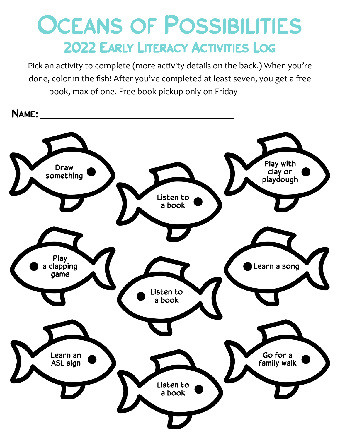## **OCEANS OF POSSIBILITIES** 2022 EARLY LITERACY ACTIVITIES LOG

Pick an activity to complete (more activity details on the back.) When you're done, color in the fish! After you've completed at least seven, you get a free book, max of one. Free book pickup only on Friday